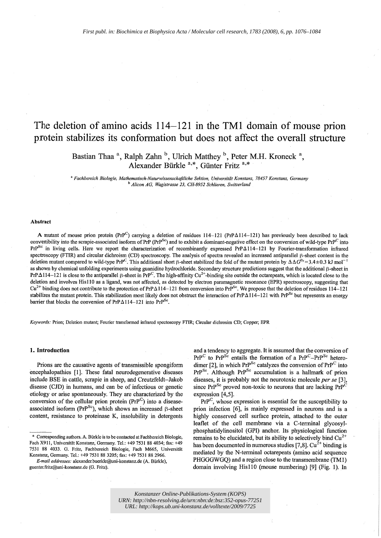# The deletion of amino acids  $114-121$  in the TM1 domain of mouse prion protein stabilizes its conformation but does not affect the overall structure

Bastian Thaa <sup>a</sup>, Ralph Zahn <sup>b</sup>, Ulrich Matthey <sup>b</sup>, Peter M.H. Kroneck <sup>a</sup>, Alexander Biirkle a,\*, Giinter Fritz a,\*

<sup>a</sup>*Fachbereich Biologie, Mathematisch-Naturwissenschaftliche Sektion, Universitiit Konstanz,* 78457 *Konstanz, Germany*  <sup>b</sup>*Alicon AG, Wagistrasse* 23, *CH-8952 Schlieren, Switzerland* 

# Abstract

A mutant of mouse prion protein (PrP<sup>C</sup>) carrying a deletion of residues 114-121 (PrP $\Delta$ 114-121) has previously been described to lack convertibility into the scrapie-associated isoform of PrP (PrP<sup>Sc</sup>) and to exhibit a dominant-negative effect on the conversion of wild-type PrP<sup>C</sup> into PrP<sup>Sc</sup> in living cells. Here we report the characterization of recombinantly expressed PrPA114-121 by Fourier-transformation infrared spectroscopy (FTIR) and circular dichroism (CD) spectroscopy. The analysis of spectra revealed an increased antiparallel  $\beta$ -sheet content in the deletion mutant compared to wild-type PrP<sup>C</sup>. This additional short  $\beta$ -sheet stabilized the fold of the mutant protein by  $\Delta \Delta G^{0} = 3.4 \pm 0.3$  kJ mol<sup>-</sup> as shown by chemical unfolding experiments using guanidine hydrochloride. Secondary structure predictions suggest that the additional  $\beta$ -sheet in PrP $\Delta$ 114–121 is close to the antiparallel  $\beta$ -sheet in PrP<sup>C</sup>. The high-affinity Cu<sup>2+</sup>-binding site outside the octarepeats, which is located close to the deletion and involves HisllO as a ligand, was not affected, as detected by electron paramagnetic resonance (EPR) spectroscopy, suggesting that  $Cu^{2+}$  binding does not contribute to the protection of PrP $\Delta 114-121$  from conversion into PrP<sup>Sc</sup>. We propose that the deletion of residues 114-121 stabilizes the mutant protein. This stabilization most likely does not obstruct the interaction of  $PrPA114-121$  with  $PrP^{Sc}$  but represents an energy barrier that blocks the conversion of PrP $\Delta$ 114-121 into PrP<sup>Sc</sup>.

*Keywords:* Prion; Deletion mutant; Fourier transformed infrared spectoscopy FTIR; Circular dichrosim CD; Copper; EPR

#### 1. Introduction

Prions are the causative agents of transmissible spongiform encephalopathies [1]. These fatal neurodegenerative diseases include BSE in cattle, scrapie in sheep, and Creutzfeldt-Jakob disease (CJD) in humans, and can be of infectious or genetic etiology or arise spontaneously. They are characterized by the conversion of the cellular prion protein  $(PrP^C)$  into a diseaseassociated isoform (PrP<sup>Sc</sup>), which shows an increased  $\beta$ -sheet content, resistance to proteinase K, insolubility in detergents

*E-mail addresses:* alexander.bucrkle@uni-konstanz.de (A. Bürkle), gucnter.fritz@uni-konstanz.de (G. Fritz).

and a tendency to aggregate. It is assumed that the conversion of  $PrP^{C}$  to  $PrP^{Sc}$  entails the formation of a  $PrP^{C}-PrP^{Sc}$  heterodimer [2], in which  $PrP^{Sc}$  catalyzes the conversion of  $PrP^{C}$  into PrP<sup>Sc</sup>. Although PrP<sup>Sc</sup> accumulation is a hallmark of prion diseases, it is probably not the neurotoxic molecule *per se* [3], since  $PrP^{Sc}$  proved non-toxic to neurons that are lacking  $PrP^{C}$ expression [4,5].

 $\text{PrP}^C$ , whose expression is essential for the susceptibility to prion infection [6], is mainly expressed in neurons and is a highly conserved cell surface protein, attached· to the outer leaflet of the cell membrane via a C-terminal glycosylphosphatidylinositol (GPI) anchor. Its physiological function remains to be elucidated, but its ability to selectively bind  $Cu^{2+}$ has been documented in numerous studies [7,8].  $Cu^{2+}$  binding is mediated by the N-terminal octarepeats (amino acid sequence PHGGGWGQ) and a region close to the transmembrane (TMl) domain involving His 110 (mouse numbering) [9] (Fig. 1). In

*Konstanzer Online-Publikations-System (KOPS) URN: <http://nbn-resolving.de/urn:nbn:de:bsz:352-opus-77251> URL:<http://kops.ub.uni-konstanz.de/volltexte/2009/7725>*

<sup>\*</sup> Corresponding authors. A. Biirkle is to be contacted at Fachbereich Biologie, Fach X911, Universitat Konstanz, Germany. Tel.: +49 7531 884034; fax: +49 7531 88 4033. G. Fritz, Fachbereich Biologie, Fach M665, Universitat Konstanz, Germany. Tel.: +49 7531 88 3205; fax: +49 7531 88 2966.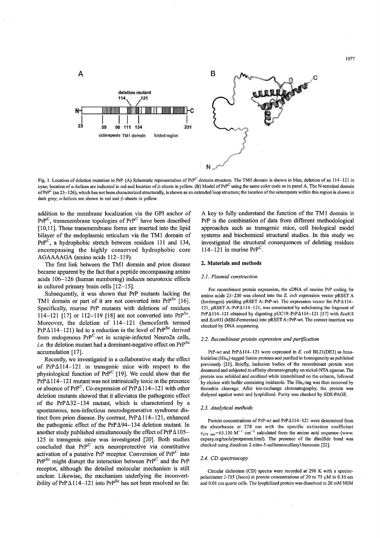

Fig. 1. Location of deletion mutation in PrP. (A) Schematic representation of  $Pr^{p}$  domain structure. The TM1 domain is shown in blue, deletion of aa 114-121 in cyan; location of  $\alpha$ -helices are indicated in red and location of  $\beta$ -sheets in yellow. (B) Model of PrP<sup>C</sup> using the same color code as in panel A. The N-terminal domain of PrP<sup>C</sup> (aa 23-126), which has not been characterized structurally, is shown as an extended loop structure; the location of the octarepeats within this region is shown in dark grey;  $\alpha$ -helices are shown in red and  $\beta$ -sheets in yellow.

addition to the membrane localization via the GPI anchor of  $PrP^C$ , transmembrane topologies of  $PrP^C$  have been described [10,11]. These transmembrane forms are inserted into the lipid bilayer of the endoplasmic reticulum via the TM1 domain of PrP<sup>C</sup>, a hydrophobic stretch between residues 111 and 134, encompassing the highly conserved hydrophobic core AGAAAAGA (amino acids 112-119).

The first link between the TM1 domain and prion disease became apparent by the fact that a peptide encompassing amino acids 106-126 (human numbering) induces neurotoxic effects in cultured primary brain cells [12-15].

Subsequently, it was shown that PrP mutants lacking the TM1 domain or part of it are not converted into  $PrP^{Sc}$  [16]. Specifically, murine PrP mutants with deletions of residues 114-121 [17] or 112-119 [18] are not converted into PrP<sup>Sc</sup>. Moreover, the deletion of 114-121 (henceforth termed PrP $\Delta$ 114-121) led to a reduction in the level of PrP<sup>Sc</sup> derived from endogenous PrP<sup>C</sup>-wt in scrapie-infected Neuro2a cells, *i.e.* the deletion mutant had a dominant-negative effect on PrP<sup>Sc</sup> accumulation [17].

Recently, we investigated in a collaborative study the effect of PrP $\Delta$ 114-121 in transgenic mice with respect to the physiological function of PrP<sup>C</sup> [19]. We could show that the  $PrP_{\Delta}114-121$  mutant was not intrinsically toxic in the presence or absence of PrP<sup>C</sup>. Co-expression of PrP $\Delta$ 114-121 with other deletion mutants showed that it alleviates the pathogenic effect of the PrP $\Delta$ 32-134 mutant, which is characterized by a spontaneous, non-infectious neurodegenerative syndrome distinct from prion disease. By contrast,  $PrP_{\Delta}114-121$ , enhanced the pathogenic effect of the PrP $\Delta$ 94-134 deletion mutant. In another study published simultaneously the effect of  $PrP_{\Delta}105-$ 125 in transgenic mice was investigated [20]. Both studies concluded that PrP<sup>C</sup> acts neuroprotective via constitutive activation of a putative PrP receptor. Conversion of  $PrP^C$  into  $PrP^{Sc}$  might disrupt the interaction between  $PrP^{C}$  and the  $PrP$ receptor, although the detailed molecular mechanism is still unclear. Likewise, the mechanism underlying the inconvertibility of PrP $\Delta$ 114-121 into PrP<sup>Sc</sup> has not been resolved so far.

A key to fully understand the function of the TM1 domain in PrP is the combination of data from different methodological approaches such as transgenic mice, cell biological model systems and biochemical structural studies. In this study we investigated the structural consequences of deleting residues  $114-121$  in murine PrP<sup>C</sup>.

#### 2. Materials and methods

# *2.1. Plasmid construction*

For recombinant protein expression, the cDNA of murine PrP coding for amino acids 23-230 was cloned into the *E. coli* expression vector pRSET A (Invitrogen) yielding pRSET A::PrP-wt. The expression vector for  $PrPA114-$ 121, pRSET A::PrP $\Delta$ 114-121, was constructed by subcloning the fragment of PrPA1I4-121 obtained by digesting pUCI9::PrPAII4-121 [17) with *Eco81I*  and *Eco91I* (MBI-Fermentas) into pRSET A::PrP-wt. The correct insertion was checked by DNA sequencing.

# *2.2. Recombinant protein expression and purification*

PrP-wt and PrP $\Delta$ 114-121 were expressed in *E. coli* BL21(DE3) as hexahistidine (His<sub>6</sub>)-tagged fusion proteins and purified to homogeneity as published previously [21). Briefly, inclusion bodies of the recombinant protein were denatured and subjected to affinity chromatography on nickel-NTA agarose. The . protein was refolded and oxidized while immobilized on the column, followed by elution with buffer containing imidazole. The  $His<sub>6</sub>$ -tag was then removed by thrombin cleavage. After ion-exchange chromatography, the protein was dialyzed against water and lyophilized. Purity was checked by SDS-PAGE.

### *2.3. Analytical methods*

Protein concentrations of PrP-wt and PrP $\triangle$ 114-121 were determined from the absorbance at 278 nm with the specific extinction coefficient  $\epsilon_{278 \text{ nm}}$ =63.130 M<sup>-1</sup> cm<sup>-1</sup> calculated from the amino acid sequence (www. expasy.org/tools/protparam.html). The presence of the disulfide bond was checked using disodium 2-nitro-5-sulfonatosulfanyl-benzoate [22].

#### *2.4. CD spectroscopy*

Circular dichroism (CD) spectra were recorded at 298 K with a spectropolarimeter J-715 (Jasco) at protein concentrations of 20 to 75  $\mu$ M in 0.10 cm and 0.0 I cm quartz cells. The Iyophilizcd protein was dissolved in 20 mM NEM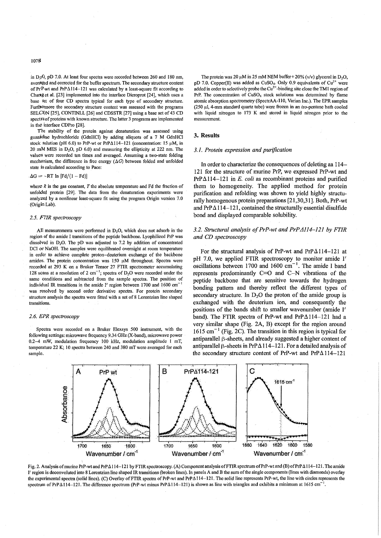in D<sub>2</sub>O, pD 7.0. At least four spectra were recorded between 260 and 180 nm, averaged and corrected for the buffer spectrum. The secondary structure content of PrP wt and PrP $\Delta$ 114-121 was calculated by a least-square fit according to Chartg et al. [23] implemented into the interface Dicroprot [24], which uses a base set of four CD spectra typical for each type of secondary structure. Furthelmore the secondary structure content was assessed with the programs SELCON [25], CONTINLL [26] and CDSSTR [27] using a base set of 43 CD spectra of proteins with known structure. The latter 3 programs are implemented in the interface CDPro [28].

The stability of the protein against denaturation was assessed using guanidine hydrochloride (GdnHCI) by adding aIiquots of a 7 M GdnHCI stock solution (pH 6.0) to PrP-wt or PrP $\Delta$ 114-121 (concentration: 15  $\mu$ M, in 20 mM MES in  $D_2O$ , pD 6.0) and measuring the ellipticity at 222 nm. The values were recorded ten times and averaged. Assuming a two-state folding mechanism, the difference in free energy  $(\Delta G)$  between folded and unfolded state is calculated according to Pace:

#### $\Delta G = -RT \ln [Fd/(1 - Fd)]$

where  $R$  is the gas constant,  $T$  the absolute temperature and  $Fd$  the fraction of unfolded protein [29]. The data from the denaturation experiments were analyzed by a nonIinear least-square fit using the program Origin version 7.0 (Origin Lab).

#### *2.5. FTIR spectroscopy*

All measurements were performed in  $D<sub>2</sub>O$ , which does not adsorb in the region of the amide I transitions of the peptide backbone. Lyophilized PrP was dissolved in  $D_2O$ . The pD was adjusted to 7.2 by addition of concentrated DCI or NaOH. The samples were equilibrated overnight at room temperature in order to achieve complete proton-deuterium exchange of the backbone amides. The protein concentration was  $150 \mu$ M throughout. Spectra were recorded at 293 K on a Bruker Tensor 27 FTIR spectrometer accumulating 128 scans at a resolution of 2 cm<sup>-1</sup>; spectra of  $D_2O$  were recorded under the same conditions and subtracted from the sample spectra. The position of individual IR transitions in the amide I' region between 1700 and 1600 cm<sup>-1</sup> was resolved by second order derivative spectra. For protein secondary structure analysis the spectra were fitted with a set of 8 Lorentzian line shaped transitions.

# *2.6. EPR spectroscopy*

Spectra were recorded on a Bruker Elexsys 500 instrument, with the following settings: microwave frequency 9.34 GHz (X-band), microwave power 0.2-4 mW, modulation frequency 100 kHz, modulation amplitude I mT, temperature 22 K; 10 spectra between 240 and 380 mT were averaged for each sample.

The protein was 20  $\mu$ M in 25 mM NEM buffer + 20% (v/v) glycerol in D<sub>2</sub>O. pD 7.0. Copper(II) was added as CuSO<sub>4</sub>. Only 0.9 equivalents of Cu<sup>2+</sup> were added in order to selectively probe the  $Cu<sup>2+</sup>$ -binding site close the TM1 region of PrP. The concentration of CUS04 stock solutions was detennined by flame atomic absorption spectrometry (SpectrAA-lIO, Varian Inc.). The EPR samples  $(250 \text{ ul}, 4\text{-mm}$  standard quartz tube) were frozen in an  $iso$ -pentane bath cooled with liquid nitrogen to 173 K and stored in liquid nitrogen prior to the measurement.

# **3. Results**

#### *3.1. Protein expression and purification*

In order to characterize the consequences of deleting aa 114- 121 for the structure of murine PrP, we expressed PrP-wt and PrP $\Delta$ 114-121 in *E. coli* as recombinant proteins and purified them to homogeneity. The applied method for protein purification and refolding was shown to yield highly structurally homogenous protein preparations [21,30,31]. Both, PrP-wt and  $PrP\Delta 114-121$ , contained the structurally essential disulfide bond and displayed comparable solubility.

# *3.2. Structural analysis of PrP-wt and PrPA114-121 by FTIR and CD spectroscopy*

For the structural analysis of PrP-wt and PrP $\Delta$ 114-121 at pH 7.0, we applied FTIR spectroscopy to monitor amide I' oscillations between 1700 and 1600  $cm^{-1}$ . The amide I band represents predominantly C=O and C-N vibrations of the peptide backbone that are sensitive towards the hydrogen bonding pattern and thereby reflect the different types of secondary structure. In  $D_2O$  the proton of the amide group is exchanged with the deuterium ion, and consequently the positions of the bands shift to smaller wavenumber (amide I' band). The FTIR spectra of PrP-wt and PrP $\Delta$ 114-121 had a very similar shape (Fig. 2A, B) except for the region around  $1615 \text{ cm}^{-1}$  (Fig. 2C). The transition in this region is typical for antiparallel  $\beta$ -sheets, and already suggested a higher content of antiparallel  $\beta$ -sheets in PrP $\Delta$ 114-121. For a detailed analysis of the secondary structure content of PrP-wt and PrP $\Delta$ 114-121



Fig. 2. Analysis of murine PrP-wt and PrP $\Delta 114-121$  by FTIR spectroscopy. (A) Component analysis of FTIR spectrum of PrP-wt and (B) of PrP $\Delta 114-121$ . The amide I' region is deconvoluted into 8 Lorentzian line shaped IR transitions (broken lines). In panels A and B the sum of the single components (lines with diamonds) overlay the experimental spectra (solid lines). (C) Overlay of FTIR spectra of PrP-wt and PrP $\Delta 114-121$ . The solid line represents PrP-wt, the line with circles represents the spectrum of PrP $\Delta$ 114-121. The difference spectrum (PrP-wt minus PrP $\Delta$ 114-121) is shown as line with triangles and exhibits a minimum at 1615 cm<sup>-1</sup>.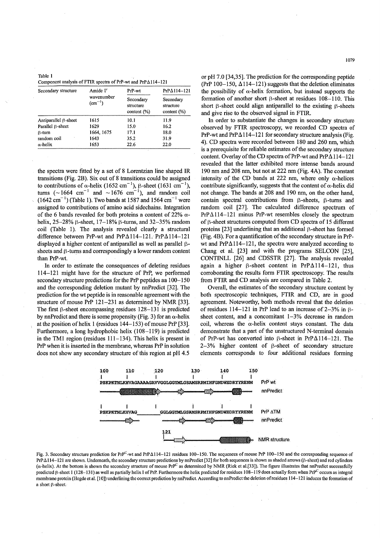| Table 1 |                                                                        |
|---------|------------------------------------------------------------------------|
|         | Component analysis of FTIR spectra of PrP-wt and $PrP_{\Delta}114-121$ |

| Secondary structure         | Amide I'                         | PrP-wt                                   | $PrPA114-121$                            |  |  |
|-----------------------------|----------------------------------|------------------------------------------|------------------------------------------|--|--|
|                             | wavenumber<br>$\text{cm}^{-1}$ ) | Secondary<br>structure<br>content $(\%)$ | Secondary<br>structure<br>content $(\%)$ |  |  |
| Antiparallel $\beta$ -sheet | 1615                             | 10.1                                     | 11.9                                     |  |  |
| Parallel B-sheet            | 1629                             | 15.0                                     | 16.2                                     |  |  |
| $\beta$ -turn               | 1664, 1675                       | 17.1                                     | 18.0                                     |  |  |
| random coil                 | 1643                             | 35.2                                     | 31.9                                     |  |  |
| $\alpha$ -helix             | 1653                             | 22.6                                     | 22.0                                     |  |  |

the spectra were fitted by a set of 8 Lorentzian line shaped IR transitions (Fig. 2B). Six out of 8 transitions could be assigned to contributions of  $\alpha$ -helix (1652 cm<sup>-1</sup>),  $\beta$ -sheet (1631 cm<sup>-1</sup>), turns ( $\sim$ 1664 cm<sup>-1</sup> and  $\sim$ 1676 cm<sup>-1</sup>), and random coil  $(1642 \text{ cm}^{-1})$  (Table 1). Two bands at 1587 and 1564 cm<sup>-1</sup> were assigned to contributions of amino acid sidechains. Integration of the 6 bands revealed for both proteins a content of 22%  $\alpha$ helix,  $25-28\%$   $\beta$ -sheet,  $17-18\%$   $\beta$ -turns, and  $32-35\%$  random coil (Table 1). The analysis revealed clearly a structural difference between PrP-wt and PrP $\Delta 114-121$ . PrP $\Delta 114-121$ displayed a higher content of antiparallel as well as parallel  $\beta$ sheets and  $\beta$ -turns and correspondingly a lower random content than PrP-wt.

In order to estimate the consequences of deleting residues 114-121 might have for the structure of PrP, we performed secondary structure predictions for the PrP peptides aa 100-150 and the corresponding deletion mutant by nnPredict [32]. The prediction for the wt peptide is in reasonable agreement with the structure of mouse PrP 121-231 as determined by NMR [33]. The first  $\beta$ -sheet encompassing residues 128-131 is predicted by nnPredict and there is some propensity (Fig. 3) for an  $\alpha$ -helix at the position of helix 1 (residues 144-153) of mouse PrP [33]. Furthermore, a long hydrophobic helix (108-119) is predicted in the TMl region (residues 111-134). This helix is present in PrP when it is inserted in the membrane, whereas PrP in solution does not show any secondary structure of this region at pH 4.5 or pH 7.0 [34,35]. The prediction for the corresponding peptide (PrP 100-150,  $\Delta$ 114-121) suggests that the deletion eliminates the possibility of  $\alpha$ -helix formation, but instead supports the formation of another short  $\beta$ -sheet at residues 108-110. This short  $\beta$ -sheet could align antiparallel to the existing  $\beta$ -sheets and give rise to the observed signal in FTIR.

In order to substantiate the changes in secondary structure observed by FTIR spectroscopy, we recorded CD spectra of PrP-wt and PrP $\Delta$ 114-121 for secondary structure analysis (Fig. 4). CD spectra were recorded between 180 and 260 nm, which is a prerequisite for reliable estimates of the secondary structure content. Overlay of the CD spectra of PrP-wt and  $PrP \Delta 114-121$ revealed that the latter exhibited more intense bands around 190 nm and 208 nm, but not at 222 nm (Fig. 4A). The constant intensity of the CD bands at 222 nm, where only  $\alpha$ -helices contribute significantly, suggests that the content of  $\alpha$ -helix did not change. The bands at 208 and 190 nm, on the other hand, contain spectral contributions from  $\beta$ -sheets,  $\beta$ -turns and random coil [27]. The calculated difference spectrum of  $PrP\Delta114-121$  minus PrP-wt resembles closely the spectrum of  $\beta$ -sheet structures computed from CD spectra of 15 different proteins  $[23]$  underlining that an additional  $\beta$ -sheet has formed  $(Fig. 4B)$ . For a quantification of the secondary structure in PrPwt and  $PrP\Delta114-121$ , the spectra were analyzed according to Chang et al. [23] and with the programs SELCON [25], CONTINLL [26] and CDSSTR [27]. The analysis revealed again a higher  $\beta$ -sheet content in PrP $\Delta$ 114-121, thus corroborating the results form FTIR spectroscopy. The results from FTIR and CD analysis are compared in Table 2.

Overall, the estimates of the secondary structure content by both spectroscopic techniques, FTIR and CD, are in good agreement. Noteworthy, both methods reveal that the deletion of residues 114-121 in PrP lead to an increase of 2-3% in  $\beta$ sheet content, and a concomitant  $1-3%$  decrease in random coil, whereas the  $\alpha$ -helix content stays constant. The data demonstrate that a part of the unstructured N-terminal domain of PrP-wt has converted into  $\beta$ -sheet in PrP $\Delta$ 114-121. The  $2-3\%$  higher content of  $\beta$ -sheet of secondary structure elements corresponds to four additional residues forming



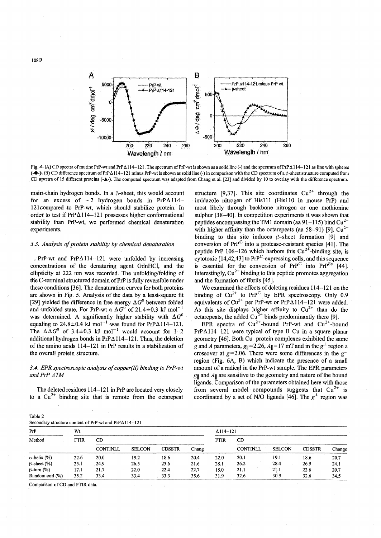

Fig. 4. (A) CD spectra of murine PrP-wt and PrP $\Delta 114-121$ . The spectrum of PrP-wt is shown as a solid line (-) and the spectrum of PrP $\Delta 114-121$  as line with spheres  $(-\bullet)$ . (B) CD difference spectrum of PrP $\Delta 114-121$  minus PrP-wt is shown as solid line (-) in comparison with the CD spectrum of a  $\beta$ -sheet structure computed from CD spectra of 15 different proteins (-A-). The computed spectrum was adapted from Chang et al. [23] and divided by 10 to overlay with the difference spectrum.

main-chain hydrogen bonds. In a  $\beta$ -sheet, this would account for an excess of  $\sim$  2 hydrogen bonds in PrP $\Delta$ 114-121compared to PrP-wt, which should stabilize protein. In order to test if  $PrP\Delta 114-121$  possesses higher conformational stability than PrP-wt, we performed chemical denaturation experiments.

# *3.3. Analysis of protein stability by chemical denaturation*

**PrP-wt** and  $PrP_{\Delta}114-121$  were unfolded by increasing concentrations of the denaturing agent GdnHCl, and the eIlipticity at 222 nm was recorded. The unfolding/folding of the C-terminal structured domain of PrP is fully reversible under these conditions [36]. The denaturation curves for both proteins are shown in Fig. 5. Analysis of the data by a least-square fit [29] yielded the difference in free energy  $\Delta G^0$  between folded and unfolded state. For PrP-wt a  $\Delta G^0$  of 21.4±0.3 kJ mol<sup>-</sup> was determined. A significantly higher stability with  $\Delta G^0$ equaling to  $24.8 \pm 0.4$  kJ mol<sup>-1</sup> was found for PrP $\Delta$ 114-121. The  $\Delta \Delta G^0$  of 3.4±0.3 kJ mol<sup>-1</sup> would account for 1-2 additional hydrogen bonds in PrP *LlI14-121.* Thus, the deletion of the amino acids 114-121 in PrP results in a stabilization of the overall protein structure.

# *3.4. EPR spectroscopic analysis of copper(JI) binding to PrP-wt*  and PrP ATM

The deleted residues 114-121 in PrP are located very closely to a  $Cu^{2+}$  binding site that is remote from the octarepeat

structure [9,37]. This site coordinates  $Cu^{2+}$  through the imidazole nitrogen of His 111 (His 110 in mouse PrP) and most likely through backbone nitrogen or one methionine sulphur [38-40]. In competition experiments it was shown that peptides encompassing the TM1 domain (aa 91-115) bind  $Cu^{2+}$ with higher affinity than the octarepeats (aa 58–91) [9].  $Cu^{2+}$ binding to this site induces  $\beta$ -sheet formation [9] and conversion of  $PrP^C$  into a protease-resistant species [41]. The peptide PrP 106-126 which harbors this  $Cu^{2+}$ -binding site, is cytotoxic  $[14,42,43]$  to  $PrP^C$ -expressing cells, and this sequence is essential for the conversion of  $PrP^C$  into  $PrP^{\text{Sc}}$  [44]. Interestingly,  $Cu^{2+}$  binding to this peptide promotes aggregation and the formation of fibrils [45].

We examined the effects of deleting residues 114-121 on the binding of  $Cu^{2+}$  to  $Pr^{PC}$  by EPR spectroscopy. Only 0.9 equivalents of Cu<sup>2+</sup> per PrP-wt or PrP $\Delta$ 114-121 were added. As this site displays higher affinity to  $Cu^{2+}$  than do the octarepeats, the added  $Cu^{2+}$  binds predominantly there [9].

EPR spectra of  $Cu^{2+}$ -bound PrP-wt and  $Cu^{2+}$ -bound  $PrP\Delta114-121$  were typical of type II Cu in a square planar geometry [46]. Both Cu-protein complexes exhibited the same g and *A* parameters,  $g_{\parallel} = 2.26$ ,  $A_{\parallel} = 17$  mT and in the  $g^{\perp}$  region a crossover at  $g=2.06$ . There were some differences in the  $g^{\perp}$ region (Fig. 6A, B) which indicate the presence of a small amount of a radical in the PrP-wt sample. The EPR parameters  $g_{\parallel}$  and  $A_{\parallel}$  are sensitive to the geometry and nature of the bound ligands. Comparison of the parameters obtained here with those from several model compounds suggests that  $Cu^{2+}$  is coordinated by a set of *N/O* ligands [46]. The  $g^{\perp}$  region was

| Table 2 |  |  |
|---------|--|--|
|         |  |  |

| Secondary structure content of PrP-wt and PrP $\Delta$ 114-121 |  |
|----------------------------------------------------------------|--|
|                                                                |  |

| PrP<br>Method         | Wt          |                 |               |               | $\Delta$ 114-121 |      |          |               |               |        |
|-----------------------|-------------|-----------------|---------------|---------------|------------------|------|----------|---------------|---------------|--------|
|                       | <b>FTIR</b> | CD              |               |               | FTIR             | .CD  |          |               |               |        |
|                       |             | <b>CONTINLL</b> | <b>SELCON</b> | <b>CDSSTR</b> | Chang            |      | CONTINLL | <b>SELCON</b> | <b>CDSSTR</b> | Change |
| $\alpha$ -helix (%)   | 22.6        | 20.0            | 19.2          | 18.6          | 20.4             | 22.0 | 20.1     | 19.1          | 18.6          | 20.7   |
| $\beta$ -sheet $(\%)$ | 25.1        | 24.9            | 26.5          | 25.6          | 21.6             | 28.1 | 26.2     | 28.4          | 26.9          | 24.1   |
| $\beta$ -turn $(\%)$  | 17.1        | 21.7            | 22.0          | 22.4          | 22.7             | 18.0 | 21.1     | 21.1          | 22.6          | 20.7   |
| Random coil (%)       | 35.2        | 33.4            | 33.4          | 33.3          | 35.6             | 31.9 | 32.6     | 30.9          | 32.6          | 34.5   |

Comparison of CD and FTIR data.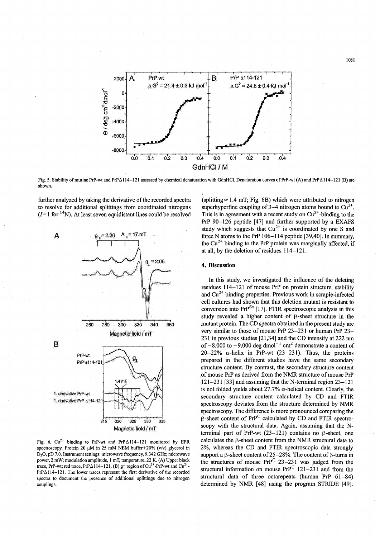

Fig. 5. Stability of murine PrP-wt and PrP $\Delta 114-121$  assessed by chemical denaturation with GdnHCl. Denaturation curves of PrP-wt (A) and PrP $\Delta 114-121$  (B) are shown.

further analyzed by taking the derivative of the recorded spectra to resolve for additional splittings from coordinated nitrogens  $(I=1$  for <sup>14</sup>N). At least seven equidistant lines could be resolved



Fig. 6.  $Cu^{2+}$  binding to PrP-wt and PrP $\Delta$ 114-121 monitored by EPR spectroscopy. Protein 20  $\mu$ M in 25 mM NEM buffer+20% (v/v) glycerol in 0 20, pO 7.0. Instrument settings: microwave frequency, 9.342 GHz; microwave power, 2 m W; modulation amplitude, I mT, temperature, 22 K. (A) Upper black trace, PrP-wt; red trace, PrP $\Delta 114-121$ . (B) g<sup>t</sup> region of Cu<sup>2+</sup>-PrP-wt and Cu<sup>2+</sup>- $PrP\Delta114-121$ . The lower traces represent the first derivative of the recorded spectra to document the presence of additional splittings due to nitrogen couplings.

(splitting  $\approx$  1.4 mT; Fig. 6B) which were attributed to nitrogen superhyperfine coupling of 3–4 nitrogen atoms bound to  $Cu^{2+}$ . This is in agreement with a recent study on  $Cu^{2+}$ -binding to the PrP 90-126 peptide [47] and further supported by a EXAFS study which suggests that  $Cu^{2+}$  is coordinated by one S and three N atoms to the PrP 106-114 peptide [39,40]. In summary, the  $Cu^{2+}$  binding to the PrP protein was marginally affected, if at all, by the deletion of residues 114-121.

### 4. Discussion

In this study, we investigated the influence of the deleting residues 114-121 of mouse PrP on protein structure, stability and  $Cu<sup>2+</sup>$  binding properties. Previous work in scrapie-infected cell cultures had shown that this deletion mutant is resistant to conversion into PrP<sup>Sc</sup> [17]. FTIR spectroscopic analysis in this study revealed a higher content of  $\beta$ -sheet structure in the mutant protein. The CD spectra obtained in the present study are very similar to those of mouse PrP 23-231 or human PrP 23- 231 in previous studies [21,34] and the CD intensity at 222 nm of  $-8.000$  to  $-9.000$  deg dmol<sup>-1</sup> cm<sup>2</sup> demonstrate a content of 20-22%  $\alpha$ -helix in PrP-wt (23-231). Thus, the proteins prepared in the different studies have the same secondary structure content. By contrast, the secondary structure content of mouse PrP as derived from the NMR structure of mouse PrP 121-231 [33] and assuming that the N-terminal region 23-121 is not folded yields about 27.7%  $\alpha$ -helical content. Clearly, the secondary structure content calculated by CD and FTIR spectroscopy deviates from the structure determined by NMR spectroscopy. The difference is more pronounced comparing the  $\beta$ -sheet content of PrP<sup>C</sup> calculated by CD and FTIR spectroscopy with the structural data. Again, assuming that the Nterminal part of PrP-wt  $(23-121)$  contains no  $\beta$ -sheet, one calculates the  $\beta$ -sheet content from the NMR structural data to 2%, whereas the CD and FTIR spectroscopic data strongly support a  $\beta$ -sheet content of 25-28%. The content of  $\beta$ -turns in the structures of mouse  $Pr^{C}$  23-231 was judged from the structural information on mouse  $PrP^C$  121-231 and from the structural data of three octarepeats (human PrP 61-84) determined by NMR [48] using the program STRIDE [49].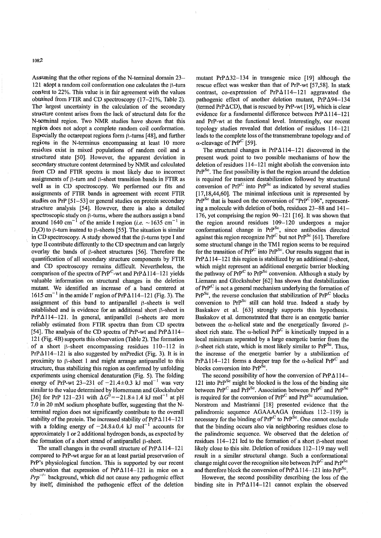1082

Assuming that the other regions of the N-terminal domain 23– 121 adopt a random coil conformation one calculates the B-turn content to 22%. This value is in fair agreement with the values obtained from FTIR and CD spectroscopy (17-21%, Table 2). The largest uncertainty in the calculation of the secondary stmcture content arises from the lack of structural data for the N-terminal region. Two NMR studies have shown that this region does not adopt a complete random coil conformation. Especially the octarepeat regions form  $\beta$ -turns [48], and further regions in the N-terminus encompassing at least 10 more residues exist in mixed populations of random coil and a structured state [50]. However, the apparent deviation in secondary structure content determined by NMR and calculated from CD and FTIR spectra is most likely due to incorrect assignments of  $\beta$ -turn and  $\beta$ -sheet transition bands in FTIR as well as in CD spectroscopy. We performed our fits and assignments of FTIR bands in agreement with recent FTIR studies on PrP [51-53] or general studies on protein secondary structure analysis [54]. However, there is also a detailed spectroscopic study on  $\beta$ -turns, where the authors assign a band around 1640 cm<sup>-1</sup> of the amide I region (*i.e.*  $\sim$  1635 cm<sup>-1</sup> in  $D<sub>2</sub>O$ ) to  $\beta$ -turn instead to  $\beta$ -sheets [55]. The situation is similar in CD spectroscopy. A study showed that the  $\beta$ -turns type I and type II contribute differently to the CD spectrum and can largely overlay the bands of  $\beta$ -sheet structures [56]. Therefore the quantification of all secondary structure components by FTIR and CD spectroscopy remains difficult. Nevertheless, the comparison of the spectra of PrP<sup>C</sup>-wt and PrP $\Delta$ 114-121 yields valuable information on structural changes in the deletion mutant. We identified an increase of a band centered at 1615 cm<sup>-1</sup> in the amide I' region of PrP $\Delta$ 114-121 (Fig. 3). The assignment of this band to antiparallel  $\beta$ -sheets is well established and is evidence for an additional short  $\beta$ -sheet in  $PrP\Delta114-121$ . In general, antiparallel  $\beta$ -sheets are more reliably estimated from FTIR spectra than from CD spectra [54]. The analysis of the CD spectra of PrP-wt and PrP $\Delta$ 114-121 (Fig. 4B) supports this observation (Table 2). The formation of a short  $\beta$ -sheet encompassing residues 110-112 in  $PrP\Delta114-121$  is also suggested by nnPredict (Fig. 3). It is in proximity to  $\beta$ -sheet 1 and might arrange antiparallel to this structure, thus stabilizing this region as confirmed by unfolding experiments using chemical denaturation (Fig. 5). The folding energy of PrP-wt 23-231 of  $-21.4 \pm 0.3$  kJ mol<sup>-1</sup> was very similar to the value determined by Homemann and Glockshuber [36] for PrP 121-231 with  $\Delta G^0 = -21.8 \pm 1.4$  kJ mol<sup>-1</sup> at pH 7.0 in 20 mM sodium phosphate buffer, suggesting that the Nterminal region does not significantly contribute to the overall stability of the protein. The increased stability of  $PrP \triangle 114-121$ with a folding energy of  $-24.8 \pm 0.4$  kJ mol<sup>-1</sup> accounts for approximately I or 2 additional hydrogen bonds, as expected by the formation of a short strand of antiparallel  $\beta$ -sheet.

The small changes in the overall structure of  $PrP_{\Delta}114-121$ compared to PrP-wt argue for an at least partial preservation of PrP's physiological function. This is supported by our recent observation that expression of PrP $\Delta$ 114-121 in mice on a  $Prp^{-1}$  background, which did not cause any pathogenic effect by itself, diminished the pathogenic effect of the deletion

mutant PrP $\Delta$ 32-134 in transgenic mice [19] although the rescue effect was weaker than that of PrP-wt [57,58]. **In** stark contrast, co-expression of  $PrPA114-121$  aggravated the pathogenic effect of another deletion mutant,  $PrP_{\Delta}$ 94-134 (termed PrP $\Delta$ CD), that is rescued by PrP-wt [19], which is clear evidence for a fundamental difference between  $PrP_{\Delta 114-121}$ and PrP-wt at the functional level. Interestingly, our recent topology studies revealed that deletion of residues 114-121 leads to the complete loss of the transmembrane topology and of  $\alpha$ -cleavage of PrP<sup>C</sup> [59].

The structural changes in  $PrP_{\Delta 114-121}$  discovered in the present work point to two possible mechanisms of how the deletion of residues 114-121 might abolish the conversion into PrP<sup>Sc</sup>. The first possibility is that the region around the deletion is required for transient destabilization followed by structural conversion of  $PrP^C$  into  $PrP^{Sc}$  as indicated by several studies  $[17,18,44,60]$ . The minimal infectious unit is represented by  $PrP^{Sc}$  that is based on the conversion of " $PrP^{C}106$ ", representing a molecule with deletion of both, residues 23-88 and 141- 176, yet comprising the region 90-121 [16]. It was shown that the region around residues 109-120 undergoes a major conformational change in PrP<sup>Sc</sup>, since antibodies directed against this region recognize  $Pr^{p^C}$  but not  $Pr^{p^{\text{Sc}}}$  [61]. Therefore some structural change in the TM1 region seems to be required for the transition of  $PrP^C$  into  $PrP^{Sc}$ . Our results suggest that in  $PrP_{\Delta}114-121$  this region is stabilized by an additional  $\beta$ -sheet, which might represent an additional energetic barrier blocking the pathway of PrP<sup>C</sup> to PrP<sup>Sc</sup> conversion. Although a study by Liemann and Glockshuber [62] has shown that destabilization of  $PrP^C$  is not a general mechanism underlying the formation of  $PrP^{Sc}$ , the reverse conclusion that stabilization of  $PrP^{C}$  blocks conversion to  $PrP^{Sc}$  still can hold true. Indeed a study by Baskakov et al. [63] strongly supports this hypothesis. Baskakov et al. demonstrated that there is an energetic barrier between the  $\alpha$ -helical state and the energetically favored  $\beta$ sheet rich state. The  $\alpha$ -helical PrP<sup>C</sup> is kinetically trapped in a local minimum separated by a large energetic barrier from the  $\beta$ -sheet rich state, which is most likely similar to PrP<sup>Sc</sup>. Thus, the increase of the energetic barrier by a stabilization of  $PrP_{\Delta}114-121$  forms a deeper trap for the  $\alpha$ -helical PrP<sup>C</sup> and blocks conversion into PrP<sup>Sc</sup>.

The second possibility of how the conversion of  $PrP_{\Delta}114-$ 121 into  $PrP^{Sc}$  might be blocked is the loss of the binding site between PrP<sup>C</sup> and PrP<sup>Sc</sup>. Association between PrP<sup>C</sup> and PrP<sup>Sc</sup> is required for the conversion of  $PrP^C$  and  $PrP^{Sc}$  accumulation. Norstrom and Mastrianni [18] presented evidence that the palindromic sequence AGAAAAGA (residues 112-119) is necessary for the binding of  $PrP^C$  to  $PrP^{\text{Sc}}$ . One cannot exclude that the binding occurs also via neighboring residues close to the palindromic sequence. We observed that the deletion of residues  $114-121$  led to the formation of a short  $\beta$ -sheet most likely close to this site. Deletion of residues  $112-119$  may well result in a similar structural change. Such a conformational change might cover the recognition site between  $Pr^{C}$  and  $Pr^{S_{C}}$ and therefore block the conversion of PrP $\Delta$ 114-121 into PrP<sup>Sc</sup>.

However, the second possibility describing the loss of the binding site in PrP $\Delta$ 114-121 cannot explain the observed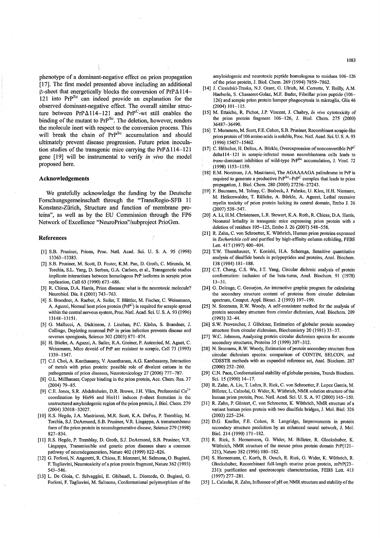phenotype of a dominant-negative effect on prion propagation [17]. The first model presented above including an additional  $\beta$ -sheet that energetically blocks the conversion of PrP $\Delta$ 114– 121 into  $PrP^{Sc}$  can indeed provide an explanation for the observed dominant-negative effect. The overall similar structure between  $PrP\Delta114-121$  and  $PrP^C$ -wt still enables the binding of the mutant to  $PrP^{Sc}$ . The deletion, however, renders the molecule inert with respect to the conversion process. This will break the chain of  $PrP^{Sc}$  accumulation and should ultimately prevent disease progression. Future prion inoculation studies of the transgenic mice carrying the PrP $\Delta$ 114-121 gene [19] will be instrumental to verify *in vivo* the model proposed here.

# **Acknowledgements**

We gratefully acknowledge the funding by the Deutsche Forschungsgemeinschaft through the "TransRegio-SFB **11**  Konstanz-Ziirich, Structure and function of membrane proteins", as well as by the EU Commission through the FP6 Network of Excellence "NeuroPrion"/subproject PrioGen.

#### **References**

- [I] S.B. Prusiner, Prions, Proc. Natl. Acad. Sci. U. S. A. 95 (1998) 13363-13383.
- [2] S.B. Pnisiner, M. Scott, D. Foster, K.M. Pan, D. Groth, C. Mirenda, M. Torchia, S.L. Yang, D. Serban, G.A. Carlson, et aI., Transgenctic studies implicate interactions between homologous PrP isoforms in scrapie prion replication, Cell 63 (1990) 673-686.
- [3] R. Chiesa, D.A. Harris, Prion diseases: what is the neurotoxic molecule? Neurobiol. Dis. 8 (2001) 743-763.
- [4] S. Brandner, A. Raeber, A. Sailer, T. Blättler, M. Fischer, C. Weissmann, A. Aguzzi, Normal host prion protein (PrP<sup>C</sup>) is required for scrapie spread within the central nervous system, Proc. Natl. Acad. Sci. U. S. A. 93 (1996) 13148-13151.
- [5] G. Mallucci, A. Dickinson, J. Linehan, P.C. Klohn, S. Brandner, J. Collinge, Depleting neuronal PrP in prion infection prevents disease and reverses spongiosis, Science 302 (2003) 871-874.
- [6] H. Büeler, A. Aguzzi, A. Sailer, R.A. Greiner, P. Autenried, M. Aguet, C. Weissmann, Mice devoid of PrP are resistant to scrapie, Cell 73 (1993) 1339-1347.
- [7] C,J. Choi, A. Kanthasamy, V. Anantharam, A.G. Kanthasamy, Interaction of metals with prion protein: possible role of divalent cations in the pathogenesis of prion diseases, Neurotoxicology 27 (2006) 777-787.
- [8] G.L. Millhauser, Copper binding in the prion protein, Acc. Chem. Res. 37 (2004) 79-85.
- [9] C.E. Jones, S.R. Abdelraheim, D.R. Brown, J.H. Viles, Preferential Cu<sup>2+</sup> coordination by His96 and His111 induces  $\beta$ -sheet formation in the unstructured amyloidogenic region of the prion protein, J. Biol. Chem. 279 (2004) 32018-32027.
- [10] R.S. Hegde, 1.A. Mastrianni, M.R. Scott, K.A. DeFea, P. Tremblay, M. Torchia, S.J. DeArmond, S.B. Prusiner, V.R. Lingappa, A transmembrane form of the prion protein in neurodegenerative disease, Science 279 (1998) 827-834.
- [11] R.S. Hegde, P. Tremblay, D. Groth, S.J. DeArmond, S.B. Prusiner, V.R. Lingappa, Transmissible and genetic prion diseases share a common pathway of neurodegeneration, Nature 402 (1999) 822-826.
- [12] G. Forloni, N. Angeretti, R. Chiesa, E. Monzani, M. Salmona, O. Bugiani, F. Tagliavini, Neurotoxicity of a prion protein fragment, Nature 362 (1993) 543-546.
- [13] L. De Gioia, C. Selvaggini, E. Ghibaudi, L. Diomede, O. Bugiani, G. Forloni, F. Tagliavini, M. Salmona, Conformational polymorphism of the

amyloidogenic and neurotoxic peptide homologous to residues 106-126 of the prion protein, J. BioI. Chem. 269 (1994) 7859-7862.

- [14] J. Ciesielski-Treska, N.J. Grant, G. Ulrich, M. Corrotte, Y. Bailly, A.M. Haeberle, S. Chasserot-Golaz, M.F. Bader, Fibrillar prion peptide (106-126) and scrapie prion protein hamper phagocytosis in microglia, Glia 46 (2004) 101-115.
- [15] M. Ettaiche, R. Pichot, 1.P. Vincent, 1. Chabry, *In vivo* cytotoxicity of the prion protein fragment 106-126, 1. BioI. Chem. 275 (2000) 36487-36490.
- [16] T. Muramoto, M. Scott, F.E. Cohen, S.B. Prusiner, Recombinant scrapie-like prion protein of 106 amino acids is soluble, Proc. Natl. Acad. Sci. U. S. A. 93 (1996) 15457-15462.
- [17] C. Hölscher, H. Delius, A. Bürkle, Overexpression of nonconvertible  $PrP^C$ delta114-121 in scrapie-infected mouse neuroblastoma cells leads to *trans-dominant inhibition of wild-type PrP<sup>Sc</sup> accumulation, J. Virol. 72* (1998) 1153-1159.
- [18] E.M. Norstrom, J.A. Mastrianni, The AGAAAAGA palindrome in PrP is required to generate a productive  $PrP^{Sc}-PrP^{C}$  complex that leads to prion propagation, 1. BioI. Chem. 280 (2005) 27236-27243.
- [19] F. Baumann, M. Tolnay, C. Brabeck, J. Pahnke, U. Kloz, H.H. Niemann, M. Heikenwalder, T. RUlicke, A. BUrkle, A. Aguzzi, Lethal recessive myelin toxicity of prion protein lacking its central domain, Embo J. 26 (2007) 538-547.
- [20] A. Li, H.M. Christensen, L.R. Stewart, K.A. Roth, R. Chiesa, D.A. Harris, Neonatal lethality in transgenic mice expressing prion protein with a deletion of residues 105-125, Embo J. 26 (2007) 548-558.
- [21] R. Zahn, C. von Schroetter, K. WUthrich, Human prion proteins expressed in *Escherichia coli* and purified by high-affinity column refolding, FEBS Lett. 417 (1997) 400-404.
- [22] T.W. Thannhauser, Y. Konishi, H.A. Scheraga, Sensitive quantitative analysis of disulfide bonds in polypeptides and proteins, Anal. Biochem. 138 (1984) 181-188.
- [23] C.T. Chang, C.S. Wu, 1.T. Yang, Circular dichroic analysis of protein conformation: inclusion of the beta-turns, Anal. Biochem. 91 (1978) 13-31.
- [24] G. Deleage, C. Geourjon, An interactive graphic program for calculating the secondary structure content of proteins from circular dichroism spectrum, Compul. Appl. Biosci. 2 (1993) 197-199.
- [25] N. Sreerama, R.W. Woody, A self-consistent method for the analysis of protein secondary structure from circular dichroism, Anal. Biochem. 209 (1993) 32-44.
- [26] S.W. Provencher, J. Glöckner, Estimation of globular protein secondary structure from circular dichroism, Biochemistry 20 (1981) 33-37.
- W.C. Johnson, Analyzing protein circular dichroism spectra for accurate secondary structures, Proteins 35 (1999) 307-312.
- [28] N. Sreerama, R.W. Woody, Estimation of protein secondary structure from circular dichroism spectra: comparison of CONTIN, SELCON, and CDSSTR methods with an expanded reference set, Anal. Biochem. 287 (2000) 252-260.
- [29] C.N. Pace, Conformational stability of globular proteins, Trends Biochem. Sci. 15 (1990) 14-17.
- [30] R. Zahn, A. Liu, T. Luhrs, R. Riek, C. von Schroetter, F. Lopez Garcia, M. Billeter, L. Calzolai, G. Wider, K. WUthrich, NMR solution structure of the human prion protein, Proc. Natl. Acad. Sci. U. S. A. 97 (2000) 145-150.
- [31] R. Zahn, P. Güntert, C. von Schroetter, K. Wüthrich, NMR structure of a variant human prion protein with two disulfide bridges, J. Mol. BioI. 326 (2003) 225-234.
- [32] D.G. Kneller, F.E. Cohen, R. Langridge, Improvements in protein secondary structure prediction by an enhanced neural network, 1. Mol. BioI. 214 (1990) 171-182.
- [33] R. Rick, S. Hornemann, G. Wider, M. Billeter, R. Glockshuber, K. Wüthrich, NMR structure of the mouse prion protein domain PrP(121-321), Nature 382 (1996) 180-182.
- [34] S. Hornemann, C. Korth, B. Oesch, R. Rick, G. Wider, K. Wüthrich, R. Glockshuber, Recombinant full-length murine prion protein, mPrP(23- 231): purification and spectroscopic characterization, FEBS Lett. 413 (1997) 277-281.
- [35] L. Calzolai, R. Zahn, Influence of pH on NMR structure and stability of the